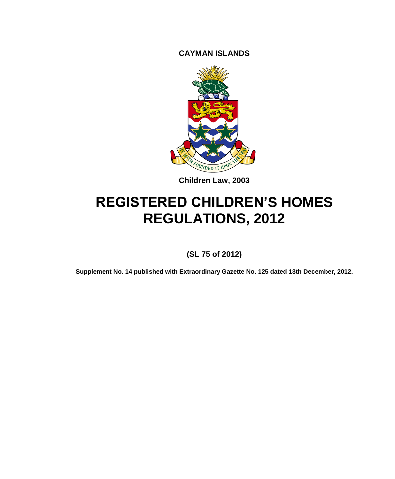**CAYMAN ISLANDS**



**Children Law, 2003**

# **REGISTERED CHILDREN'S HOMES REGULATIONS, 2012**

**(SL 75 of 2012)**

**Supplement No. 14 published with Extraordinary Gazette No. 125 dated 13th December, 2012.**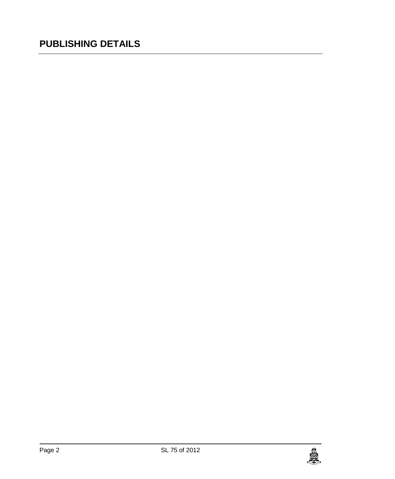# **PUBLISHING DETAILS**

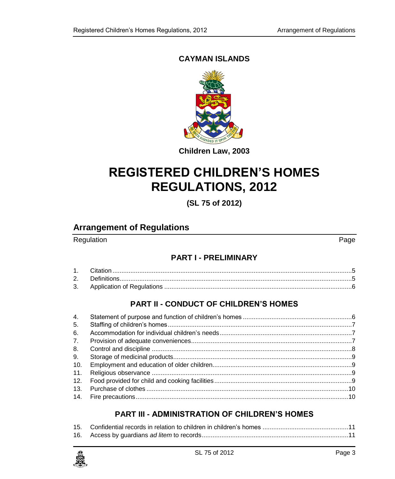### **CAYMAN ISLANDS**



**Children Law, 2003**

# **REGISTERED CHILDREN'S HOMES REGULATIONS, 2012**

**(SL 75 of 2012)**

# **Arrangement of Regulations**

### Regulation **Page**

### **PART I - [PRELIMINARY](#page-4-0)**

## **PART II - [CONDUCT OF CHILDREN'S HOMES](#page-5-1)**

| 4.  |  |
|-----|--|
| 5.  |  |
| 6.  |  |
| 7.  |  |
| 8.  |  |
| 9.  |  |
| 10. |  |
| 11. |  |
|     |  |
| 13. |  |
|     |  |

### **PART III - [ADMINISTRATION OF CHILDREN'S HOMES](#page-10-0)**

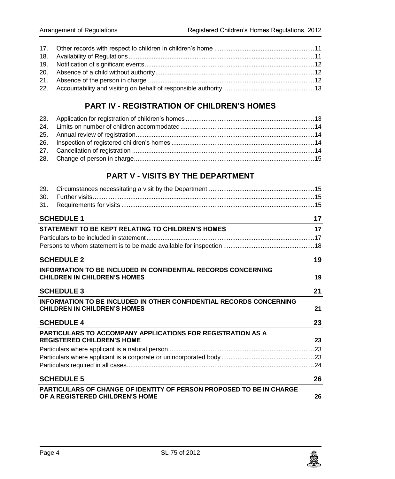### **PART IV - [REGISTRATION OF CHILDREN'S HOMES](#page-12-1)**

### **PART V - [VISITS BY THE DEPARTMENT](#page-14-1)**

| 29.                                                                                                            |    |
|----------------------------------------------------------------------------------------------------------------|----|
| 30.                                                                                                            |    |
| 31.                                                                                                            |    |
| <b>SCHEDULE 1</b>                                                                                              | 17 |
| STATEMENT TO BE KEPT RELATING TO CHILDREN'S HOMES                                                              | 17 |
|                                                                                                                |    |
|                                                                                                                |    |
| <b>SCHEDULE 2</b>                                                                                              | 19 |
| <b>INFORMATION TO BE INCLUDED IN CONFIDENTIAL RECORDS CONCERNING</b>                                           |    |
| <b>CHILDREN IN CHILDREN'S HOMES</b>                                                                            | 19 |
| <b>SCHEDULE 3</b>                                                                                              |    |
| <b>INFORMATION TO BE INCLUDED IN OTHER CONFIDENTIAL RECORDS CONCERNING</b>                                     |    |
| <b>CHILDREN IN CHILDREN'S HOMES</b>                                                                            | 21 |
| <b>SCHEDULE 4</b>                                                                                              | 23 |
| <b>PARTICULARS TO ACCOMPANY APPLICATIONS FOR REGISTRATION AS A</b>                                             |    |
| <b>REGISTERED CHILDREN'S HOME</b>                                                                              | 23 |
|                                                                                                                |    |
|                                                                                                                |    |
|                                                                                                                |    |
| <b>SCHEDULE 5</b>                                                                                              | 26 |
| <b>PARTICULARS OF CHANGE OF IDENTITY OF PERSON PROPOSED TO BE IN CHARGE</b><br>OF A REGISTERED CHILDREN'S HOME | 26 |

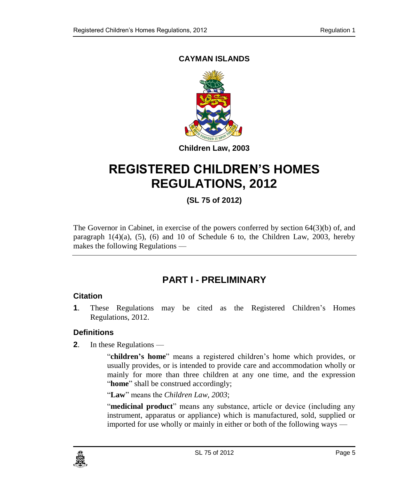### **CAYMAN ISLANDS**



# **REGISTERED CHILDREN'S HOMES REGULATIONS, 2012**

# **(SL 75 of 2012)**

The Governor in Cabinet, in exercise of the powers conferred by section 64(3)(b) of, and paragraph  $1(4)(a)$ ,  $(5)$ ,  $(6)$  and  $10$  of Schedule 6 to, the Children Law, 2003, hereby makes the following Regulations —

# **PART I - PRELIMINARY**

#### <span id="page-4-1"></span><span id="page-4-0"></span>**1. Citation**

**1**. These Regulations may be cited as the Registered Children's Homes Regulations, 2012.

### <span id="page-4-2"></span>**2. Definitions**

**2**. In these Regulations —

"**children's home**" means a registered children's home which provides, or usually provides, or is intended to provide care and accommodation wholly or mainly for more than three children at any one time, and the expression "**home**" shall be construed accordingly;

"**Law**" means the *Children Law, 2003*;

"**medicinal product**" means any substance, article or device (including any instrument, apparatus or appliance) which is manufactured, sold, supplied or imported for use wholly or mainly in either or both of the following ways —

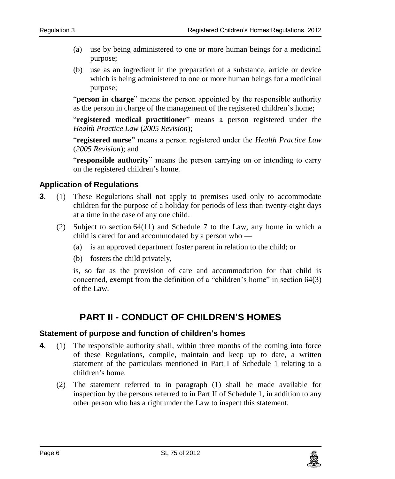- (a) use by being administered to one or more human beings for a medicinal purpose;
- (b) use as an ingredient in the preparation of a substance, article or device which is being administered to one or more human beings for a medicinal purpose;

"**person in charge**" means the person appointed by the responsible authority as the person in charge of the management of the registered children's home;

"**registered medical practitioner**" means a person registered under the *Health Practice Law* (*2005 Revision*);

"**registered nurse**" means a person registered under the *Health Practice Law* (*2005 Revision*); and

"**responsible authority**" means the person carrying on or intending to carry on the registered children's home.

#### <span id="page-5-0"></span>**3. Application of Regulations**

- **3**. (1) These Regulations shall not apply to premises used only to accommodate children for the purpose of a holiday for periods of less than twenty-eight days at a time in the case of any one child.
	- (2) Subject to section 64(11) and Schedule 7 to the Law, any home in which a child is cared for and accommodated by a person who —
		- (a) is an approved department foster parent in relation to the child; or
		- (b) fosters the child privately,

is, so far as the provision of care and accommodation for that child is concerned, exempt from the definition of a "children's home" in section 64(3) of the Law.

# **PART II - CONDUCT OF CHILDREN'S HOMES**

#### <span id="page-5-2"></span><span id="page-5-1"></span>**4. Statement of purpose and function of children's homes**

- **4**. (1) The responsible authority shall, within three months of the coming into force of these Regulations, compile, maintain and keep up to date, a written statement of the particulars mentioned in Part I of Schedule 1 relating to a children's home.
	- (2) The statement referred to in paragraph (1) shall be made available for inspection by the persons referred to in Part II of Schedule 1, in addition to any other person who has a right under the Law to inspect this statement.

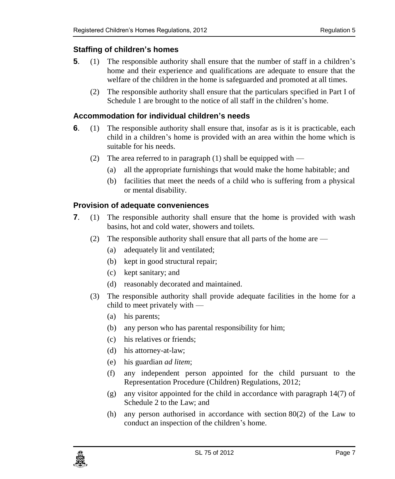#### <span id="page-6-0"></span>**5. Staffing of children's homes**

- **5**. (1) The responsible authority shall ensure that the number of staff in a children's home and their experience and qualifications are adequate to ensure that the welfare of the children in the home is safeguarded and promoted at all times.
	- (2) The responsible authority shall ensure that the particulars specified in Part I of Schedule 1 are brought to the notice of all staff in the children's home.

#### <span id="page-6-1"></span>**6. Accommodation for individual children's needs**

- **6**. (1) The responsible authority shall ensure that, insofar as is it is practicable, each child in a children's home is provided with an area within the home which is suitable for his needs.
	- (2) The area referred to in paragraph (1) shall be equipped with  $-$ 
		- (a) all the appropriate furnishings that would make the home habitable; and
		- (b) facilities that meet the needs of a child who is suffering from a physical or mental disability.

#### <span id="page-6-2"></span>**7. Provision of adequate conveniences**

- **7**. (1) The responsible authority shall ensure that the home is provided with wash basins, hot and cold water, showers and toilets.
	- (2) The responsible authority shall ensure that all parts of the home are
		- (a) adequately lit and ventilated;
		- (b) kept in good structural repair;
		- (c) kept sanitary; and
		- (d) reasonably decorated and maintained.
	- (3) The responsible authority shall provide adequate facilities in the home for a child to meet privately with —
		- (a) his parents;
		- (b) any person who has parental responsibility for him;
		- (c) his relatives or friends;
		- (d) his attorney-at-law;
		- (e) his guardian *ad litem*;
		- (f) any independent person appointed for the child pursuant to the Representation Procedure (Children) Regulations, 2012;
		- (g) any visitor appointed for the child in accordance with paragraph 14(7) of Schedule 2 to the Law; and
		- (h) any person authorised in accordance with section 80(2) of the Law to conduct an inspection of the children's home.

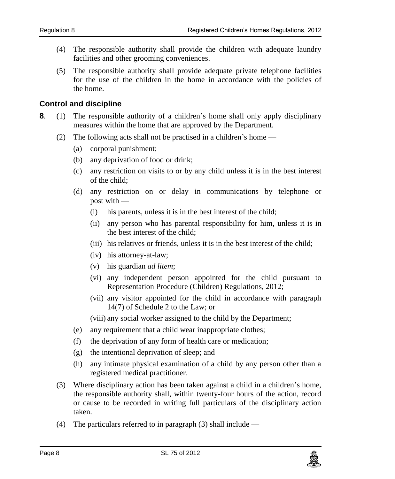- (4) The responsible authority shall provide the children with adequate laundry facilities and other grooming conveniences.
- (5) The responsible authority shall provide adequate private telephone facilities for the use of the children in the home in accordance with the policies of the home.

#### <span id="page-7-0"></span>**8. Control and discipline**

- **8**. (1) The responsible authority of a children's home shall only apply disciplinary measures within the home that are approved by the Department.
	- (2) The following acts shall not be practised in a children's home
		- (a) corporal punishment;
		- (b) any deprivation of food or drink;
		- (c) any restriction on visits to or by any child unless it is in the best interest of the child;
		- (d) any restriction on or delay in communications by telephone or post with —
			- (i) his parents, unless it is in the best interest of the child;
			- (ii) any person who has parental responsibility for him, unless it is in the best interest of the child;
			- (iii) his relatives or friends, unless it is in the best interest of the child;
			- (iv) his attorney-at-law;
			- (v) his guardian *ad litem*;
			- (vi) any independent person appointed for the child pursuant to Representation Procedure (Children) Regulations, 2012;
			- (vii) any visitor appointed for the child in accordance with paragraph 14(7) of Schedule 2 to the Law; or

(viii) any social worker assigned to the child by the Department;

- (e) any requirement that a child wear inappropriate clothes;
- (f) the deprivation of any form of health care or medication;
- (g) the intentional deprivation of sleep; and
- (h) any intimate physical examination of a child by any person other than a registered medical practitioner.
- (3) Where disciplinary action has been taken against a child in a children's home, the responsible authority shall, within twenty-four hours of the action, record or cause to be recorded in writing full particulars of the disciplinary action taken.
- (4) The particulars referred to in paragraph (3) shall include  $-$

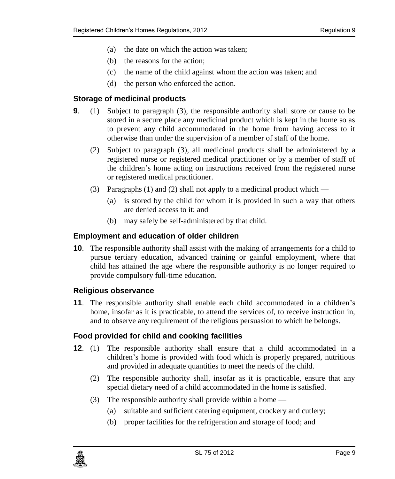- (a) the date on which the action was taken;
- (b) the reasons for the action;
- (c) the name of the child against whom the action was taken; and
- (d) the person who enforced the action.

### <span id="page-8-0"></span>**9. Storage of medicinal products**

- **9**. (1) Subject to paragraph (3), the responsible authority shall store or cause to be stored in a secure place any medicinal product which is kept in the home so as to prevent any child accommodated in the home from having access to it otherwise than under the supervision of a member of staff of the home.
	- (2) Subject to paragraph (3), all medicinal products shall be administered by a registered nurse or registered medical practitioner or by a member of staff of the children's home acting on instructions received from the registered nurse or registered medical practitioner.
	- (3) Paragraphs (1) and (2) shall not apply to a medicinal product which
		- (a) is stored by the child for whom it is provided in such a way that others are denied access to it; and
		- (b) may safely be self-administered by that child.

### <span id="page-8-1"></span>**10. Employment and education of older children**

**10**. The responsible authority shall assist with the making of arrangements for a child to pursue tertiary education, advanced training or gainful employment, where that child has attained the age where the responsible authority is no longer required to provide compulsory full-time education.

### <span id="page-8-2"></span>**11. Religious observance**

**11**. The responsible authority shall enable each child accommodated in a children's home, insofar as it is practicable, to attend the services of, to receive instruction in, and to observe any requirement of the religious persuasion to which he belongs.

### <span id="page-8-3"></span>**12. Food provided for child and cooking facilities**

- **12**. (1) The responsible authority shall ensure that a child accommodated in a children's home is provided with food which is properly prepared, nutritious and provided in adequate quantities to meet the needs of the child.
	- (2) The responsible authority shall, insofar as it is practicable, ensure that any special dietary need of a child accommodated in the home is satisfied.
	- (3) The responsible authority shall provide within a home
		- (a) suitable and sufficient catering equipment, crockery and cutlery;
		- (b) proper facilities for the refrigeration and storage of food; and

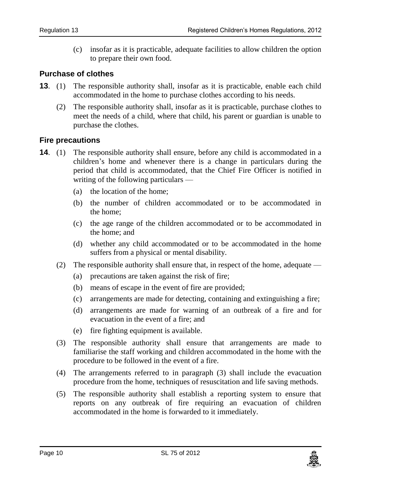(c) insofar as it is practicable, adequate facilities to allow children the option to prepare their own food.

#### <span id="page-9-0"></span>**13. Purchase of clothes**

- **13**. (1) The responsible authority shall, insofar as it is practicable, enable each child accommodated in the home to purchase clothes according to his needs.
	- (2) The responsible authority shall, insofar as it is practicable, purchase clothes to meet the needs of a child, where that child, his parent or guardian is unable to purchase the clothes.

#### <span id="page-9-1"></span>**14. Fire precautions**

- **14.** (1) The responsible authority shall ensure, before any child is accommodated in a children's home and whenever there is a change in particulars during the period that child is accommodated, that the Chief Fire Officer is notified in writing of the following particulars —
	- (a) the location of the home;
	- (b) the number of children accommodated or to be accommodated in the home;
	- (c) the age range of the children accommodated or to be accommodated in the home; and
	- (d) whether any child accommodated or to be accommodated in the home suffers from a physical or mental disability.
	- (2) The responsible authority shall ensure that, in respect of the home, adequate
		- (a) precautions are taken against the risk of fire;
		- (b) means of escape in the event of fire are provided;
		- (c) arrangements are made for detecting, containing and extinguishing a fire;
		- (d) arrangements are made for warning of an outbreak of a fire and for evacuation in the event of a fire; and
		- (e) fire fighting equipment is available.
	- (3) The responsible authority shall ensure that arrangements are made to familiarise the staff working and children accommodated in the home with the procedure to be followed in the event of a fire.
	- (4) The arrangements referred to in paragraph (3) shall include the evacuation procedure from the home, techniques of resuscitation and life saving methods.
	- (5) The responsible authority shall establish a reporting system to ensure that reports on any outbreak of fire requiring an evacuation of children accommodated in the home is forwarded to it immediately.

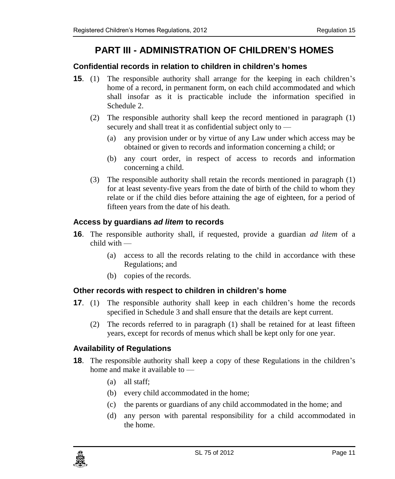# **PART III - ADMINISTRATION OF CHILDREN'S HOMES**

#### <span id="page-10-1"></span><span id="page-10-0"></span>**15. Confidential records in relation to children in children's homes**

- **15**. (1) The responsible authority shall arrange for the keeping in each children's home of a record, in permanent form, on each child accommodated and which shall insofar as it is practicable include the information specified in Schedule 2.
	- (2) The responsible authority shall keep the record mentioned in paragraph (1) securely and shall treat it as confidential subject only to —
		- (a) any provision under or by virtue of any Law under which access may be obtained or given to records and information concerning a child; or
		- (b) any court order, in respect of access to records and information concerning a child.
	- (3) The responsible authority shall retain the records mentioned in paragraph (1) for at least seventy-five years from the date of birth of the child to whom they relate or if the child dies before attaining the age of eighteen, for a period of fifteen years from the date of his death.

#### <span id="page-10-2"></span>**16. Access by guardians** *ad litem* **to records**

- **16**. The responsible authority shall, if requested, provide a guardian *ad litem* of a child with —
	- (a) access to all the records relating to the child in accordance with these Regulations; and
	- (b) copies of the records.

#### <span id="page-10-3"></span>**17. Other records with respect to children in children's home**

- **17**. (1) The responsible authority shall keep in each children's home the records specified in Schedule 3 and shall ensure that the details are kept current.
	- (2) The records referred to in paragraph (1) shall be retained for at least fifteen years, except for records of menus which shall be kept only for one year.

#### <span id="page-10-4"></span>**18. Availability of Regulations**

- **18**. The responsible authority shall keep a copy of these Regulations in the children's home and make it available to —
	- (a) all staff;
	- (b) every child accommodated in the home;
	- (c) the parents or guardians of any child accommodated in the home; and
	- (d) any person with parental responsibility for a child accommodated in the home.

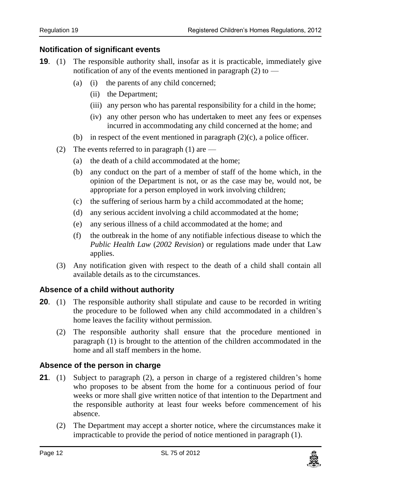#### <span id="page-11-0"></span>**19. Notification of significant events**

- **19**. (1) The responsible authority shall, insofar as it is practicable, immediately give notification of any of the events mentioned in paragraph (2) to —
	- (a) (i) the parents of any child concerned;
		- (ii) the Department;
		- (iii) any person who has parental responsibility for a child in the home;
		- (iv) any other person who has undertaken to meet any fees or expenses incurred in accommodating any child concerned at the home; and
	- (b) in respect of the event mentioned in paragraph  $(2)(c)$ , a police officer.
	- (2) The events referred to in paragraph  $(1)$  are
		- (a) the death of a child accommodated at the home;
		- (b) any conduct on the part of a member of staff of the home which, in the opinion of the Department is not, or as the case may be, would not, be appropriate for a person employed in work involving children;
		- (c) the suffering of serious harm by a child accommodated at the home;
		- (d) any serious accident involving a child accommodated at the home;
		- (e) any serious illness of a child accommodated at the home; and
		- (f) the outbreak in the home of any notifiable infectious disease to which the *Public Health Law* (*2002 Revision*) or regulations made under that Law applies.
	- (3) Any notification given with respect to the death of a child shall contain all available details as to the circumstances.

#### <span id="page-11-1"></span>**20. Absence of a child without authority**

- **20.** (1) The responsible authority shall stipulate and cause to be recorded in writing the procedure to be followed when any child accommodated in a children's home leaves the facility without permission.
	- (2) The responsible authority shall ensure that the procedure mentioned in paragraph (1) is brought to the attention of the children accommodated in the home and all staff members in the home.

#### <span id="page-11-2"></span>**21. Absence of the person in charge**

- **21**. (1) Subject to paragraph (2), a person in charge of a registered children's home who proposes to be absent from the home for a continuous period of four weeks or more shall give written notice of that intention to the Department and the responsible authority at least four weeks before commencement of his absence.
	- (2) The Department may accept a shorter notice, where the circumstances make it impracticable to provide the period of notice mentioned in paragraph (1).

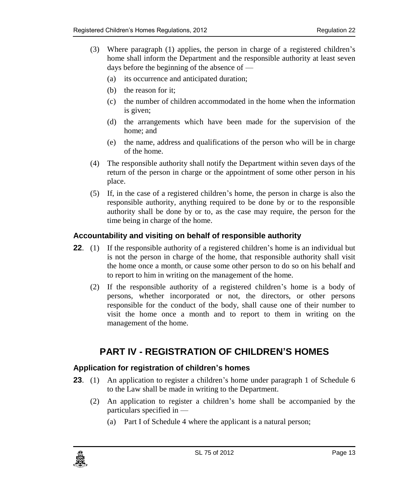- (3) Where paragraph (1) applies, the person in charge of a registered children's home shall inform the Department and the responsible authority at least seven days before the beginning of the absence of —
	- (a) its occurrence and anticipated duration;
	- (b) the reason for it;
	- (c) the number of children accommodated in the home when the information is given;
	- (d) the arrangements which have been made for the supervision of the home; and
	- (e) the name, address and qualifications of the person who will be in charge of the home.
- (4) The responsible authority shall notify the Department within seven days of the return of the person in charge or the appointment of some other person in his place.
- (5) If, in the case of a registered children's home, the person in charge is also the responsible authority, anything required to be done by or to the responsible authority shall be done by or to, as the case may require, the person for the time being in charge of the home.

#### <span id="page-12-0"></span>**22. Accountability and visiting on behalf of responsible authority**

- **22.** (1) If the responsible authority of a registered children's home is an individual but is not the person in charge of the home, that responsible authority shall visit the home once a month, or cause some other person to do so on his behalf and to report to him in writing on the management of the home.
	- (2) If the responsible authority of a registered children's home is a body of persons, whether incorporated or not, the directors, or other persons responsible for the conduct of the body, shall cause one of their number to visit the home once a month and to report to them in writing on the management of the home.

# <span id="page-12-1"></span>**PART IV - REGISTRATION OF CHILDREN'S HOMES**

#### <span id="page-12-2"></span>**23. Application for registration of children's homes**

- **23.** (1) An application to register a children's home under paragraph 1 of Schedule 6 to the Law shall be made in writing to the Department.
	- (2) An application to register a children's home shall be accompanied by the particulars specified in —
		- (a) Part I of Schedule 4 where the applicant is a natural person;

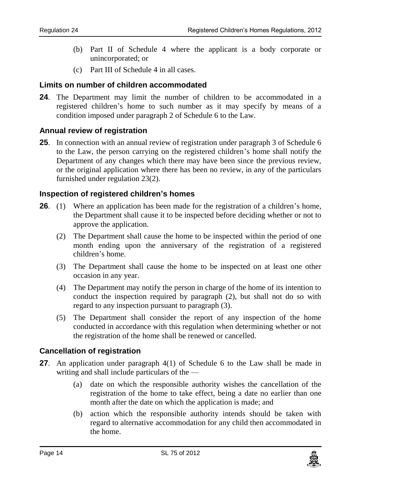- (b) Part II of Schedule 4 where the applicant is a body corporate or unincorporated; or
- (c) Part III of Schedule 4 in all cases.

#### <span id="page-13-0"></span>**24. Limits on number of children accommodated**

**24**. The Department may limit the number of children to be accommodated in a registered children's home to such number as it may specify by means of a condition imposed under paragraph 2 of Schedule 6 to the Law.

#### <span id="page-13-1"></span>**25. Annual review of registration**

**25**. In connection with an annual review of registration under paragraph 3 of Schedule 6 to the Law, the person carrying on the registered children's home shall notify the Department of any changes which there may have been since the previous review, or the original application where there has been no review, in any of the particulars furnished under regulation 23(2).

#### <span id="page-13-2"></span>**26. Inspection of registered children's homes**

- **26**. (1) Where an application has been made for the registration of a children's home, the Department shall cause it to be inspected before deciding whether or not to approve the application.
	- (2) The Department shall cause the home to be inspected within the period of one month ending upon the anniversary of the registration of a registered children's home.
	- (3) The Department shall cause the home to be inspected on at least one other occasion in any year.
	- (4) The Department may notify the person in charge of the home of its intention to conduct the inspection required by paragraph (2), but shall not do so with regard to any inspection pursuant to paragraph (3).
	- (5) The Department shall consider the report of any inspection of the home conducted in accordance with this regulation when determining whether or not the registration of the home shall be renewed or cancelled.

#### <span id="page-13-3"></span>**27. Cancellation of registration**

- **27**. An application under paragraph 4(1) of Schedule 6 to the Law shall be made in writing and shall include particulars of the —
	- (a) date on which the responsible authority wishes the cancellation of the registration of the home to take effect, being a date no earlier than one month after the date on which the application is made; and
	- (b) action which the responsible authority intends should be taken with regard to alternative accommodation for any child then accommodated in the home.

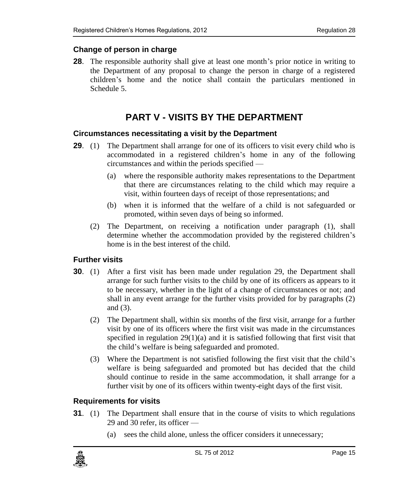### <span id="page-14-0"></span>**28. Change of person in charge**

**28**. The responsible authority shall give at least one month's prior notice in writing to the Department of any proposal to change the person in charge of a registered children's home and the notice shall contain the particulars mentioned in Schedule 5.

# **PART V - VISITS BY THE DEPARTMENT**

#### <span id="page-14-2"></span><span id="page-14-1"></span>**29. Circumstances necessitating a visit by the Department**

- **29.** (1) The Department shall arrange for one of its officers to visit every child who is accommodated in a registered children's home in any of the following circumstances and within the periods specified —
	- (a) where the responsible authority makes representations to the Department that there are circumstances relating to the child which may require a visit, within fourteen days of receipt of those representations; and
	- (b) when it is informed that the welfare of a child is not safeguarded or promoted, within seven days of being so informed.
	- (2) The Department, on receiving a notification under paragraph (1), shall determine whether the accommodation provided by the registered children's home is in the best interest of the child.

### <span id="page-14-3"></span>**30. Further visits**

- **30**. (1) After a first visit has been made under regulation 29, the Department shall arrange for such further visits to the child by one of its officers as appears to it to be necessary, whether in the light of a change of circumstances or not; and shall in any event arrange for the further visits provided for by paragraphs (2) and (3).
	- (2) The Department shall, within six months of the first visit, arrange for a further visit by one of its officers where the first visit was made in the circumstances specified in regulation  $29(1)(a)$  and it is satisfied following that first visit that the child's welfare is being safeguarded and promoted.
	- (3) Where the Department is not satisfied following the first visit that the child's welfare is being safeguarded and promoted but has decided that the child should continue to reside in the same accommodation, it shall arrange for a further visit by one of its officers within twenty-eight days of the first visit.

#### <span id="page-14-4"></span>**31. Requirements for visits**

- **31.** (1) The Department shall ensure that in the course of visits to which regulations 29 and 30 refer, its officer —
	- (a) sees the child alone, unless the officer considers it unnecessary;

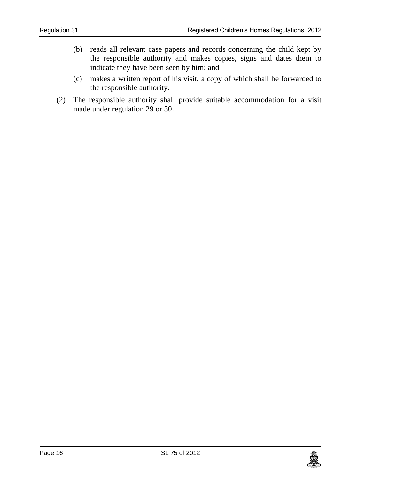- (b) reads all relevant case papers and records concerning the child kept by the responsible authority and makes copies, signs and dates them to indicate they have been seen by him; and
- (c) makes a written report of his visit, a copy of which shall be forwarded to the responsible authority.
- (2) The responsible authority shall provide suitable accommodation for a visit made under regulation 29 or 30.

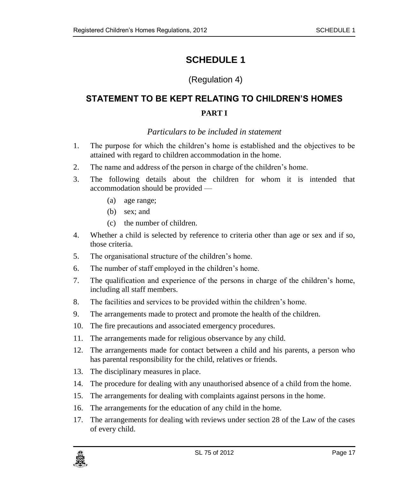# <span id="page-16-0"></span>(Regulation 4)

# <span id="page-16-1"></span>**STATEMENT TO BE KEPT RELATING TO CHILDREN'S HOMES PART I**

### *Particulars to be included in statement*

- <span id="page-16-2"></span>1. The purpose for which the children's home is established and the objectives to be attained with regard to children accommodation in the home.
- 2. The name and address of the person in charge of the children's home.
- 3. The following details about the children for whom it is intended that accommodation should be provided —
	- (a) age range;
	- (b) sex; and
	- (c) the number of children.
- 4. Whether a child is selected by reference to criteria other than age or sex and if so, those criteria.
- 5. The organisational structure of the children's home.
- 6. The number of staff employed in the children's home.
- 7. The qualification and experience of the persons in charge of the children's home, including all staff members.
- 8. The facilities and services to be provided within the children's home.
- 9. The arrangements made to protect and promote the health of the children.
- 10. The fire precautions and associated emergency procedures.
- 11. The arrangements made for religious observance by any child.
- 12. The arrangements made for contact between a child and his parents, a person who has parental responsibility for the child, relatives or friends.
- 13. The disciplinary measures in place.
- 14. The procedure for dealing with any unauthorised absence of a child from the home.
- 15. The arrangements for dealing with complaints against persons in the home.
- 16. The arrangements for the education of any child in the home.
- 17. The arrangements for dealing with reviews under section 28 of the Law of the cases of every child.

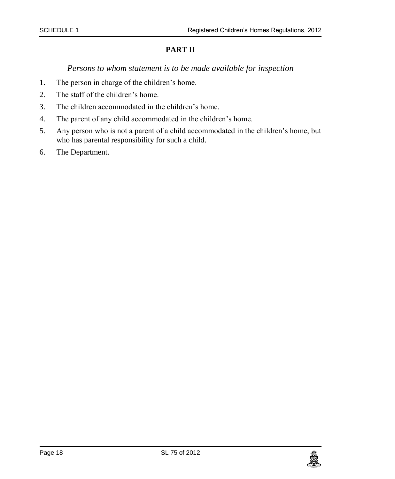### **PART II**

#### *Persons to whom statement is to be made available for inspection*

- <span id="page-17-0"></span>1. The person in charge of the children's home.
- 2. The staff of the children's home.
- 3. The children accommodated in the children's home.
- 4. The parent of any child accommodated in the children's home.
- 5. Any person who is not a parent of a child accommodated in the children's home, but who has parental responsibility for such a child.
- 6. The Department.

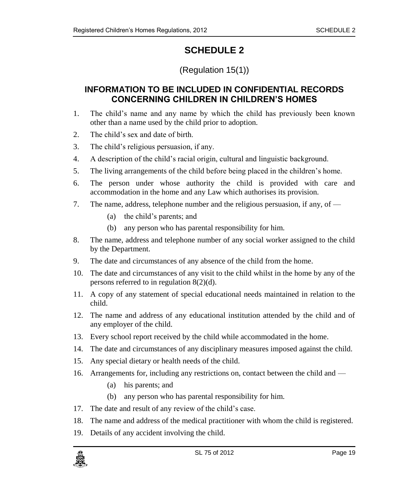# (Regulation 15(1))

# <span id="page-18-1"></span><span id="page-18-0"></span>**INFORMATION TO BE INCLUDED IN CONFIDENTIAL RECORDS CONCERNING CHILDREN IN CHILDREN'S HOMES**

- 1. The child's name and any name by which the child has previously been known other than a name used by the child prior to adoption.
- 2. The child's sex and date of birth.
- 3. The child's religious persuasion, if any.
- 4. A description of the child's racial origin, cultural and linguistic background.
- 5. The living arrangements of the child before being placed in the children's home.
- 6. The person under whose authority the child is provided with care and accommodation in the home and any Law which authorises its provision.
- 7. The name, address, telephone number and the religious persuasion, if any, of
	- (a) the child's parents; and
	- (b) any person who has parental responsibility for him.
- 8. The name, address and telephone number of any social worker assigned to the child by the Department.
- 9. The date and circumstances of any absence of the child from the home.
- 10. The date and circumstances of any visit to the child whilst in the home by any of the persons referred to in regulation 8(2)(d).
- 11. A copy of any statement of special educational needs maintained in relation to the child.
- 12. The name and address of any educational institution attended by the child and of any employer of the child.
- 13. Every school report received by the child while accommodated in the home.
- 14. The date and circumstances of any disciplinary measures imposed against the child.
- 15. Any special dietary or health needs of the child.
- 16. Arrangements for, including any restrictions on, contact between the child and
	- (a) his parents; and
	- (b) any person who has parental responsibility for him.
- 17. The date and result of any review of the child's case.
- 18. The name and address of the medical practitioner with whom the child is registered.
- 19. Details of any accident involving the child.

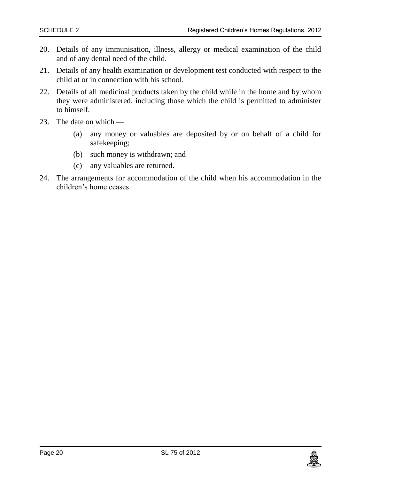- 20. Details of any immunisation, illness, allergy or medical examination of the child and of any dental need of the child.
- 21. Details of any health examination or development test conducted with respect to the child at or in connection with his school.
- 22. Details of all medicinal products taken by the child while in the home and by whom they were administered, including those which the child is permitted to administer to himself.
- 23. The date on which
	- (a) any money or valuables are deposited by or on behalf of a child for safekeeping;
	- (b) such money is withdrawn; and
	- (c) any valuables are returned.
- 24. The arrangements for accommodation of the child when his accommodation in the children's home ceases.

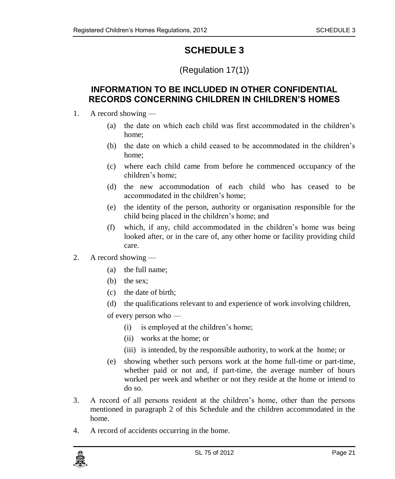# (Regulation 17(1))

### <span id="page-20-1"></span><span id="page-20-0"></span>**INFORMATION TO BE INCLUDED IN OTHER CONFIDENTIAL RECORDS CONCERNING CHILDREN IN CHILDREN'S HOMES**

- 1. A record showing
	- (a) the date on which each child was first accommodated in the children's home;
	- (b) the date on which a child ceased to be accommodated in the children's home;
	- (c) where each child came from before he commenced occupancy of the children's home;
	- (d) the new accommodation of each child who has ceased to be accommodated in the children's home;
	- (e) the identity of the person, authority or organisation responsible for the child being placed in the children's home; and
	- (f) which, if any, child accommodated in the children's home was being looked after, or in the care of, any other home or facility providing child care.
- 2. A record showing
	- (a) the full name;
	- (b) the sex;
	- (c) the date of birth;
	- (d) the qualifications relevant to and experience of work involving children,

of every person who —

- (i) is employed at the children's home;
- (ii) works at the home; or
- (iii) is intended, by the responsible authority, to work at the home; or
- (e) showing whether such persons work at the home full-time or part-time, whether paid or not and, if part-time, the average number of hours worked per week and whether or not they reside at the home or intend to do so.
- 3. A record of all persons resident at the children's home, other than the persons mentioned in paragraph 2 of this Schedule and the children accommodated in the home.
- 4. A record of accidents occurring in the home.

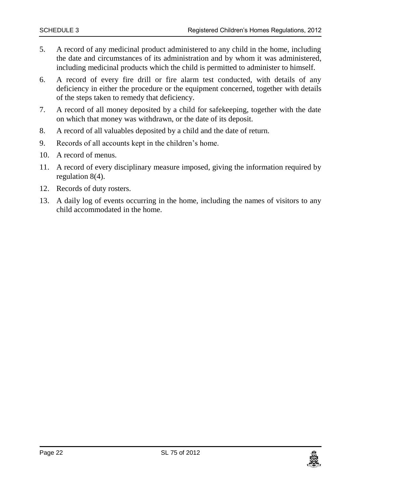- 5. A record of any medicinal product administered to any child in the home, including the date and circumstances of its administration and by whom it was administered, including medicinal products which the child is permitted to administer to himself.
- 6. A record of every fire drill or fire alarm test conducted, with details of any deficiency in either the procedure or the equipment concerned, together with details of the steps taken to remedy that deficiency.
- 7. A record of all money deposited by a child for safekeeping, together with the date on which that money was withdrawn, or the date of its deposit.
- 8. A record of all valuables deposited by a child and the date of return.
- 9. Records of all accounts kept in the children's home.
- 10. A record of menus.
- 11. A record of every disciplinary measure imposed, giving the information required by regulation 8(4).
- 12. Records of duty rosters.
- 13. A daily log of events occurring in the home, including the names of visitors to any child accommodated in the home.

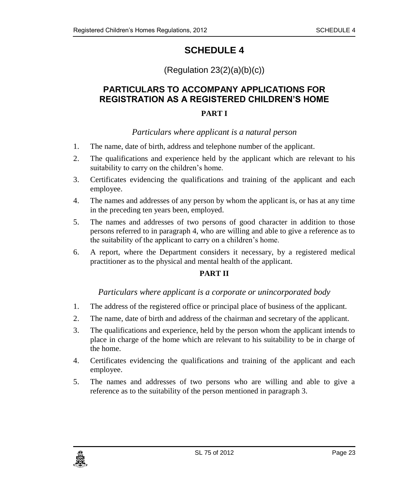# $(Regularion 23(2)(a)(b)(c))$

# <span id="page-22-1"></span><span id="page-22-0"></span>**PARTICULARS TO ACCOMPANY APPLICATIONS FOR REGISTRATION AS A REGISTERED CHILDREN'S HOME**

#### **PART I**

#### *Particulars where applicant is a natural person*

- <span id="page-22-2"></span>1. The name, date of birth, address and telephone number of the applicant.
- 2. The qualifications and experience held by the applicant which are relevant to his suitability to carry on the children's home.
- 3. Certificates evidencing the qualifications and training of the applicant and each employee.
- 4. The names and addresses of any person by whom the applicant is, or has at any time in the preceding ten years been, employed.
- 5. The names and addresses of two persons of good character in addition to those persons referred to in paragraph 4, who are willing and able to give a reference as to the suitability of the applicant to carry on a children's home.
- 6. A report, where the Department considers it necessary, by a registered medical practitioner as to the physical and mental health of the applicant.

#### **PART II**

#### *Particulars where applicant is a corporate or unincorporated body*

- <span id="page-22-3"></span>1. The address of the registered office or principal place of business of the applicant.
- 2. The name, date of birth and address of the chairman and secretary of the applicant.
- 3. The qualifications and experience, held by the person whom the applicant intends to place in charge of the home which are relevant to his suitability to be in charge of the home.
- 4. Certificates evidencing the qualifications and training of the applicant and each employee.
- 5. The names and addresses of two persons who are willing and able to give a reference as to the suitability of the person mentioned in paragraph 3.

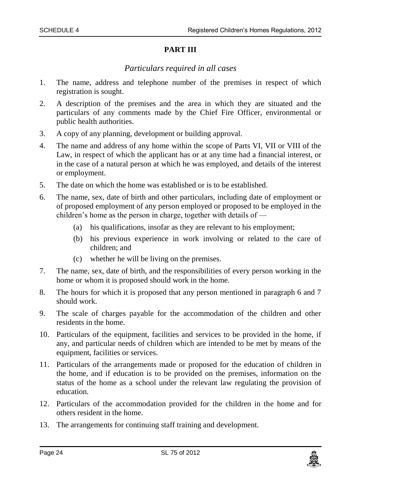#### **PART III**

#### *Particulars required in all cases*

- <span id="page-23-0"></span>1. The name, address and telephone number of the premises in respect of which registration is sought.
- 2. A description of the premises and the area in which they are situated and the particulars of any comments made by the Chief Fire Officer, environmental or public health authorities.
- 3. A copy of any planning, development or building approval.
- 4. The name and address of any home within the scope of Parts VI, VII or VIII of the Law, in respect of which the applicant has or at any time had a financial interest, or in the case of a natural person at which he was employed, and details of the interest or employment.
- 5. The date on which the home was established or is to be established.
- 6. The name, sex, date of birth and other particulars, including date of employment or of proposed employment of any person employed or proposed to be employed in the children's home as the person in charge, together with details of —
	- (a) his qualifications, insofar as they are relevant to his employment;
	- (b) his previous experience in work involving or related to the care of children; and
	- (c) whether he will be living on the premises.
- 7. The name, sex, date of birth, and the responsibilities of every person working in the home or whom it is proposed should work in the home.
- 8. The hours for which it is proposed that any person mentioned in paragraph 6 and 7 should work.
- 9. The scale of charges payable for the accommodation of the children and other residents in the home.
- 10. Particulars of the equipment, facilities and services to be provided in the home, if any, and particular needs of children which are intended to be met by means of the equipment, facilities or services.
- 11. Particulars of the arrangements made or proposed for the education of children in the home, and if education is to be provided on the premises, information on the status of the home as a school under the relevant law regulating the provision of education.
- 12. Particulars of the accommodation provided for the children in the home and for others resident in the home.
- 13. The arrangements for continuing staff training and development.

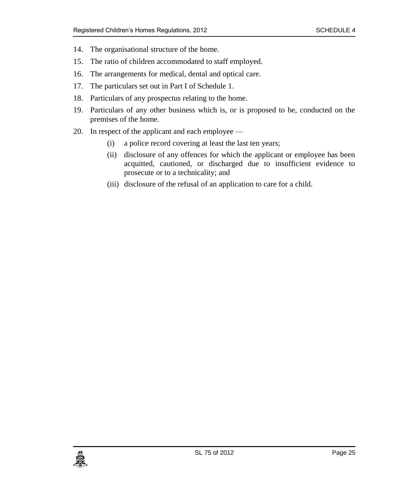- 14. The organisational structure of the home.
- 15. The ratio of children accommodated to staff employed.
- 16. The arrangements for medical, dental and optical care.
- 17. The particulars set out in Part I of Schedule 1.
- 18. Particulars of any prospectus relating to the home.
- 19. Particulars of any other business which is, or is proposed to be, conducted on the premises of the home.
- 20. In respect of the applicant and each employee
	- (i) a police record covering at least the last ten years;
	- (ii) disclosure of any offences for which the applicant or employee has been acquitted, cautioned, or discharged due to insufficient evidence to prosecute or to a technicality; and
	- (iii) disclosure of the refusal of an application to care for a child.